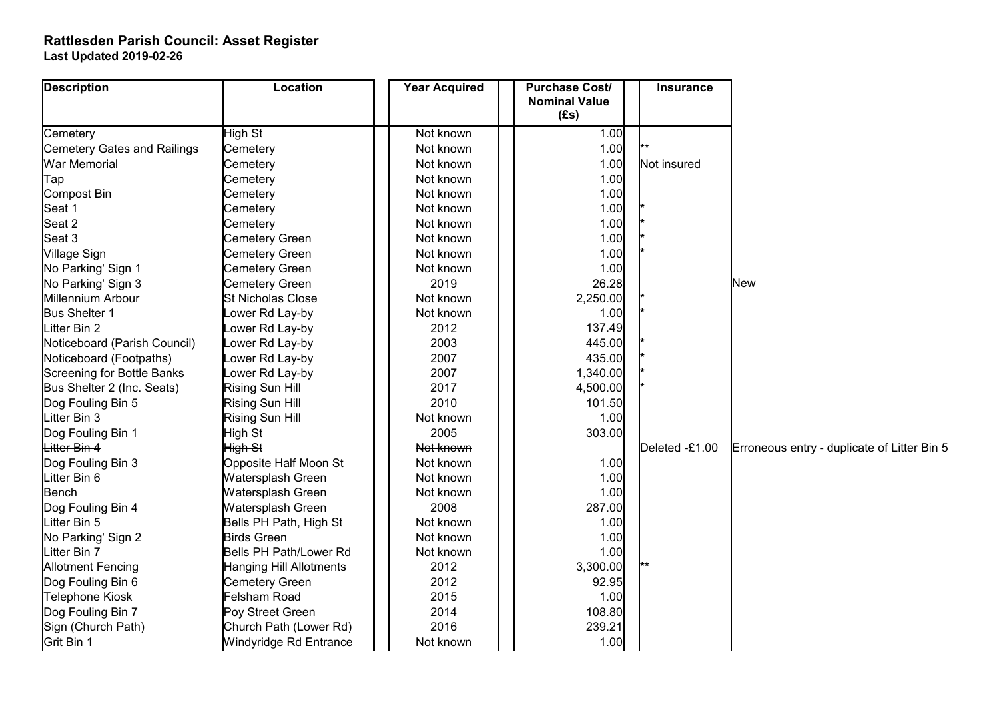## **Rattlesden Parish Council: Asset Register Last Updated 2019-02-26**

| <b>Description</b>                 | <b>Location</b>          | <b>Year Acquired</b> | <b>Purchase Cost/</b><br><b>Nominal Value</b><br>(Es) | <b>Insurance</b> |                                             |
|------------------------------------|--------------------------|----------------------|-------------------------------------------------------|------------------|---------------------------------------------|
| Cemetery                           | High St                  | Not known            | 1.00                                                  |                  |                                             |
| <b>Cemetery Gates and Railings</b> | Cemetery                 | Not known            | 1.00                                                  |                  |                                             |
| <b>War Memorial</b>                | Cemetery                 | Not known            | 1.00                                                  | Not insured      |                                             |
| Tap                                | Cemetery                 | Not known            | 1.00                                                  |                  |                                             |
| <b>Compost Bin</b>                 | Cemetery                 | Not known            | 1.00                                                  |                  |                                             |
| Seat 1                             | Cemetery                 | Not known            | 1.00                                                  |                  |                                             |
| Seat 2                             | Cemetery                 | Not known            | 1.00                                                  |                  |                                             |
| Seat 3                             | <b>Cemetery Green</b>    | Not known            | 1.00                                                  |                  |                                             |
| Village Sign                       | Cemetery Green           | Not known            | 1.00                                                  |                  |                                             |
| No Parking' Sign 1                 | <b>Cemetery Green</b>    | Not known            | 1.00                                                  |                  |                                             |
| No Parking' Sign 3                 | Cemetery Green           | 2019                 | 26.28                                                 |                  | <b>New</b>                                  |
| Millennium Arbour                  | <b>St Nicholas Close</b> | Not known            | 2,250.00                                              |                  |                                             |
| Bus Shelter 1                      | Lower Rd Lay-by          | Not known            | 1.00                                                  |                  |                                             |
| Litter Bin 2                       | Lower Rd Lay-by          | 2012                 | 137.49                                                |                  |                                             |
| Noticeboard (Parish Council)       | Lower Rd Lay-by          | 2003                 | 445.00                                                |                  |                                             |
| Noticeboard (Footpaths)            | Lower Rd Lay-by          | 2007                 | 435.00                                                |                  |                                             |
| Screening for Bottle Banks         | Lower Rd Lay-by          | 2007                 | 1,340.00                                              |                  |                                             |
| Bus Shelter 2 (Inc. Seats)         | Rising Sun Hill          | 2017                 | 4,500.00                                              |                  |                                             |
| Dog Fouling Bin 5                  | Rising Sun Hill          | 2010                 | 101.50                                                |                  |                                             |
| Litter Bin 3                       | Rising Sun Hill          | Not known            | 1.00                                                  |                  |                                             |
| Dog Fouling Bin 1                  | High St                  | 2005                 | 303.00                                                |                  |                                             |
| Litter Bin 4                       | High St                  | Not known            |                                                       | Deleted -£1.00   | Erroneous entry - duplicate of Litter Bin 5 |
| Dog Fouling Bin 3                  | Opposite Half Moon St    | Not known            | 1.00                                                  |                  |                                             |
| Litter Bin 6                       | Watersplash Green        | Not known            | 1.00                                                  |                  |                                             |
| Bench                              | Watersplash Green        | Not known            | 1.00                                                  |                  |                                             |
| Dog Fouling Bin 4                  | Watersplash Green        | 2008                 | 287.00                                                |                  |                                             |
| Litter Bin 5                       | Bells PH Path, High St   | Not known            | 1.00                                                  |                  |                                             |
| No Parking' Sign 2                 | <b>Birds Green</b>       | Not known            | 1.00                                                  |                  |                                             |
| Litter Bin 7                       | Bells PH Path/Lower Rd   | Not known            | 1.00                                                  |                  |                                             |
| <b>Allotment Fencing</b>           | Hanging Hill Allotments  | 2012                 | 3,300.00                                              |                  |                                             |
| Dog Fouling Bin 6                  | Cemetery Green           | 2012                 | 92.95                                                 |                  |                                             |
| <b>Telephone Kiosk</b>             | Felsham Road             | 2015                 | 1.00                                                  |                  |                                             |
| Dog Fouling Bin 7                  | Poy Street Green         | 2014                 | 108.80                                                |                  |                                             |
| Sign (Church Path)                 | Church Path (Lower Rd)   | 2016                 | 239.21                                                |                  |                                             |
| Grit Bin 1                         | Windyridge Rd Entrance   | Not known            | 1.00                                                  |                  |                                             |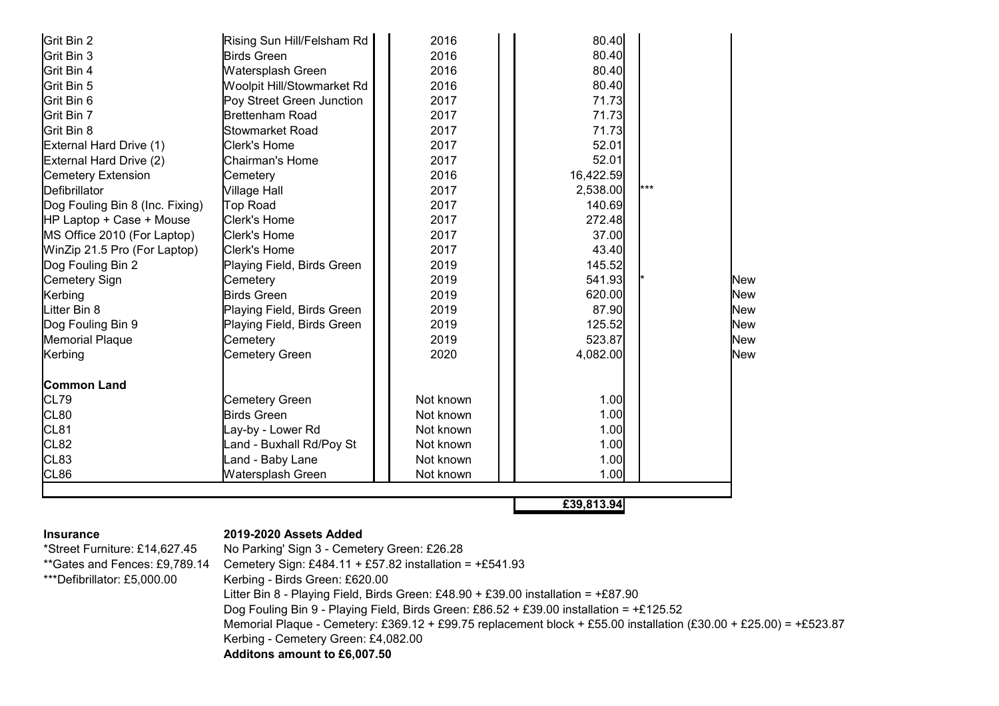| Grit Bin 2                      | Rising Sun Hill/Felsham Rd | 2016      | 80.40      |     |     |
|---------------------------------|----------------------------|-----------|------------|-----|-----|
| Grit Bin 3                      | Birds Green                | 2016      | 80.40      |     |     |
| Grit Bin 4                      | Watersplash Green          | 2016      | 80.40      |     |     |
| Grit Bin 5                      | Woolpit Hill/Stowmarket Rd | 2016      | 80.40      |     |     |
| Grit Bin 6                      | Poy Street Green Junction  | 2017      | 71.73      |     |     |
| Grit Bin 7                      | Brettenham Road            | 2017      | 71.73      |     |     |
| Grit Bin 8                      | Stowmarket Road            | 2017      | 71.73      |     |     |
| External Hard Drive (1)         | Clerk's Home               | 2017      | 52.01      |     |     |
| External Hard Drive (2)         | Chairman's Home            | 2017      | 52.01      |     |     |
| <b>Cemetery Extension</b>       | Cemetery                   | 2016      | 16,422.59  |     |     |
| Defibrillator                   | Village Hall               | 2017      | 2,538.00   | *** |     |
| Dog Fouling Bin 8 (Inc. Fixing) | Top Road                   | 2017      | 140.69     |     |     |
| HP Laptop + Case + Mouse        | Clerk's Home               | 2017      | 272.48     |     |     |
| MS Office 2010 (For Laptop)     | Clerk's Home               | 2017      | 37.00      |     |     |
| WinZip 21.5 Pro (For Laptop)    | Clerk's Home               | 2017      | 43.40      |     |     |
| Dog Fouling Bin 2               | Playing Field, Birds Green | 2019      | 145.52     |     |     |
| Cemetery Sign                   | Cemetery                   | 2019      | 541.93     |     | New |
| Kerbing                         | <b>Birds Green</b>         | 2019      | 620.00     |     | New |
| Litter Bin 8                    | Playing Field, Birds Green | 2019      | 87.90      |     | New |
| Dog Fouling Bin 9               | Playing Field, Birds Green | 2019      | 125.52     |     | New |
| <b>Memorial Plaque</b>          | Cemetery                   | 2019      | 523.87     |     | New |
| Kerbing                         | Cemetery Green             | 2020      | 4,082.00   |     | New |
| lCommon Land                    |                            |           |            |     |     |
| CL79                            | Cemetery Green             | Not known | 1.00       |     |     |
| CL80                            | Birds Green                | Not known | 1.00       |     |     |
| CL81                            | Lay-by - Lower Rd          | Not known | 1.00       |     |     |
| CL82                            | Land - Buxhall Rd/Poy St   | Not known | 1.00       |     |     |
| CL83                            | Land - Baby Lane           | Not known | 1.00       |     |     |
| CL86                            | Watersplash Green          | Not known | 1.00       |     |     |
|                                 |                            |           |            |     |     |
|                                 |                            |           | £39,813.94 |     |     |

## **Insurance 2019-2020 Assets Added**

\*Street Furniture: £14,627.45 No Parking' Sign 3 - Cemetery Green: £26.28 \*\*Gates and Fences: £9,789.14 Cemetery Sign: £484.11 + £57.82 installation =  $+£541.93$ \*\*\*Defibrillator: £5,000.00 Kerbing - Birds Green: £620.00 Litter Bin 8 - Playing Field, Birds Green: £48.90 + £39.00 installation = +£87.90 Dog Fouling Bin 9 - Playing Field, Birds Green: £86.52 + £39.00 installation = +£125.52 Memorial Plaque - Cemetery: £369.12 + £99.75 replacement block + £55.00 installation (£30.00 + £25.00) = +£523.87 Kerbing - Cemetery Green: £4,082.00 **Additons amount to £6,007.50**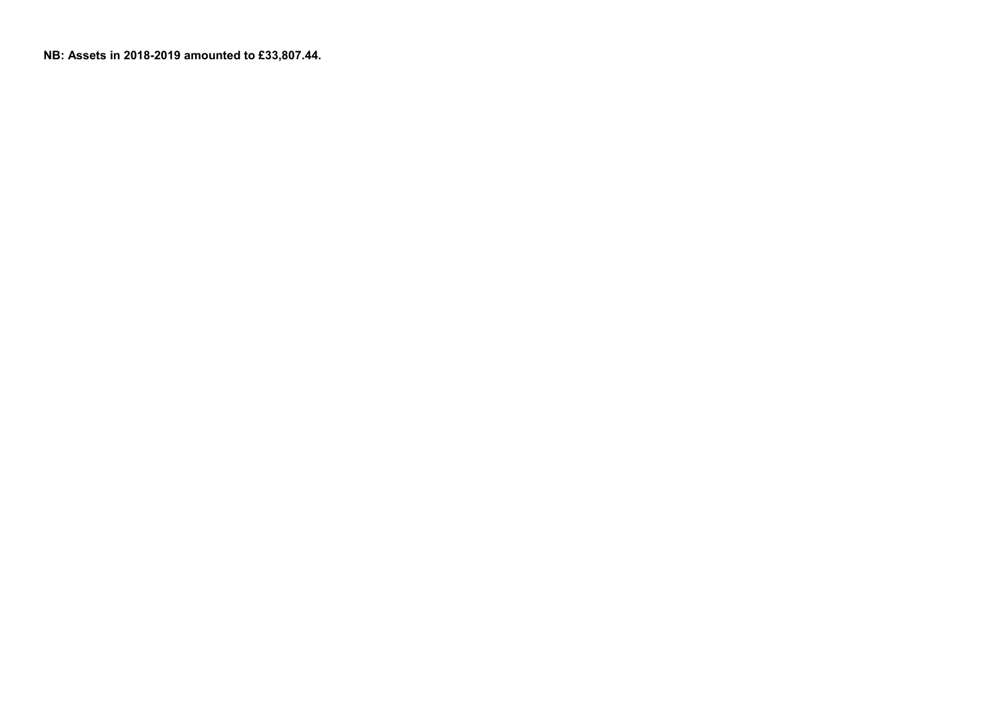**NB: Assets in 2018-2019 amounted to £33,807.44.**